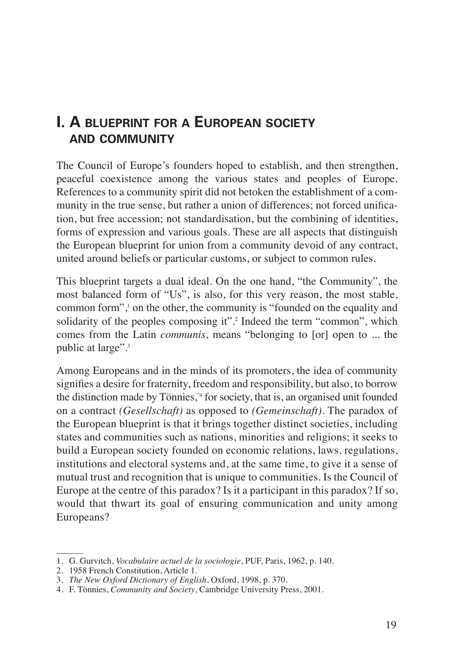## **I. A BLUEPRINT FOR A EUROPEAN SOCIETY AND COMMUNITY**

The Council of Europe's founders hoped to establish, and then strengthen, peaceful coexistence among the various states and peoples of Europe. References to a community spirit did not betoken the establishment of a community in the true sense, but rather a union of differences; not forced unification, but free accession; not standardisation, but the combining of identities, forms of expression and various goals. These are all aspects that distinguish the European blueprint for union from a community devoid of any contract, united around beliefs or particular customs, or subject to common rules.

This blueprint targets a dual ideal. On the one hand, "the Community", the most balanced form of "Us", is also, for this very reason, the most stable, common form", on the other, the community is "founded on the equality and solidarity of the peoples composing it".<sup>2</sup> Indeed the term "common", which comes from the Latin *communis*, means "belonging to [or] open to ... the public at large".<sup>3</sup>

Among Europeans and in the minds of its promoters, the idea of community signifies a desire for fraternity, freedom and responsibility, but also, to borrow the distinction made by Tönnies,"4 for society, that is, an organised unit founded on a contract *(Gesellschaft)* as opposed to *(Gemeinschaft)*. The paradox of the European blueprint is that it brings together distinct societies, including states and communities such as nations, minorities and religions; it seeks to build a European society founded on economic relations, laws, regulations, institutions and electoral systems and, at the same time, to give it a sense of mutual trust and recognition that is unique to communities. Is the Council of Europe at the centre of this paradox? Is it a participant in this paradox? If so, would that thwart its goal of ensuring communication and unity among Europeans?

 $\overline{\phantom{a}}$ 

<sup>1.</sup> G. Gurvitch, *Vocabulaire actuel de la sociologie*, PUF, Paris, 1962, p. 140.

<sup>2. 1958</sup> French Constitution, Article 1.

<sup>3.</sup> *The New Oxford Dictionary of English*, Oxford, 1998, p. 370.

<sup>4.</sup> F. Tönnies, *Community and Society*, Cambridge University Press, 2001.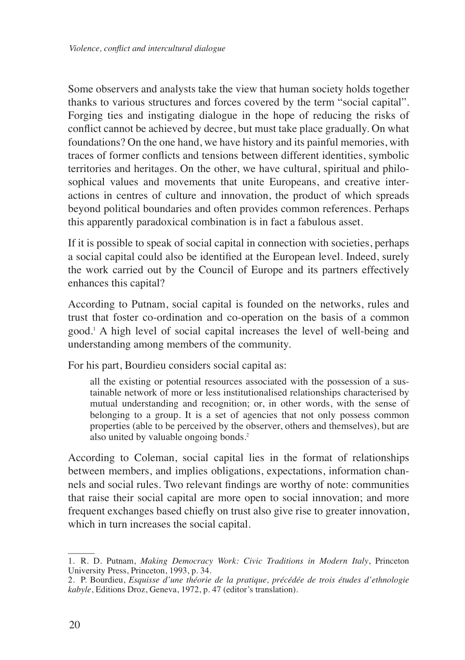Some observers and analysts take the view that human society holds together thanks to various structures and forces covered by the term "social capital". Forging ties and instigating dialogue in the hope of reducing the risks of conflict cannot be achieved by decree, but must take place gradually. On what foundations? On the one hand, we have history and its painful memories, with traces of former conflicts and tensions between different identities, symbolic territories and heritages. On the other, we have cultural, spiritual and philosophical values and movements that unite Europeans, and creative interactions in centres of culture and innovation, the product of which spreads beyond political boundaries and often provides common references. Perhaps this apparently paradoxical combination is in fact a fabulous asset.

If it is possible to speak of social capital in connection with societies, perhaps a social capital could also be identified at the European level. Indeed, surely the work carried out by the Council of Europe and its partners effectively enhances this capital?

According to Putnam, social capital is founded on the networks, rules and trust that foster co-ordination and co-operation on the basis of a common good.1 A high level of social capital increases the level of well-being and understanding among members of the community.

For his part, Bourdieu considers social capital as:

all the existing or potential resources associated with the possession of a sustainable network of more or less institutionalised relationships characterised by mutual understanding and recognition; or, in other words, with the sense of belonging to a group. It is a set of agencies that not only possess common properties (able to be perceived by the observer, others and themselves), but are also united by valuable ongoing bonds.<sup>2</sup>

According to Coleman, social capital lies in the format of relationships between members, and implies obligations, expectations, information channels and social rules. Two relevant findings are worthy of note: communities that raise their social capital are more open to social innovation; and more frequent exchanges based chiefly on trust also give rise to greater innovation, which in turn increases the social capital.

 $\overline{\phantom{a}}$ 

<sup>1.</sup> R. D. Putnam, *Making Democracy Work: Civic Traditions in Modern Italy*, Princeton University Press, Princeton, 1993, p. 34.

<sup>2.</sup> P. Bourdieu, *Esquisse d'une théorie de la pratique, précédée de trois études d'ethnologie kabyle*, Editions Droz, Geneva, 1972, p. 47 (editor's translation).